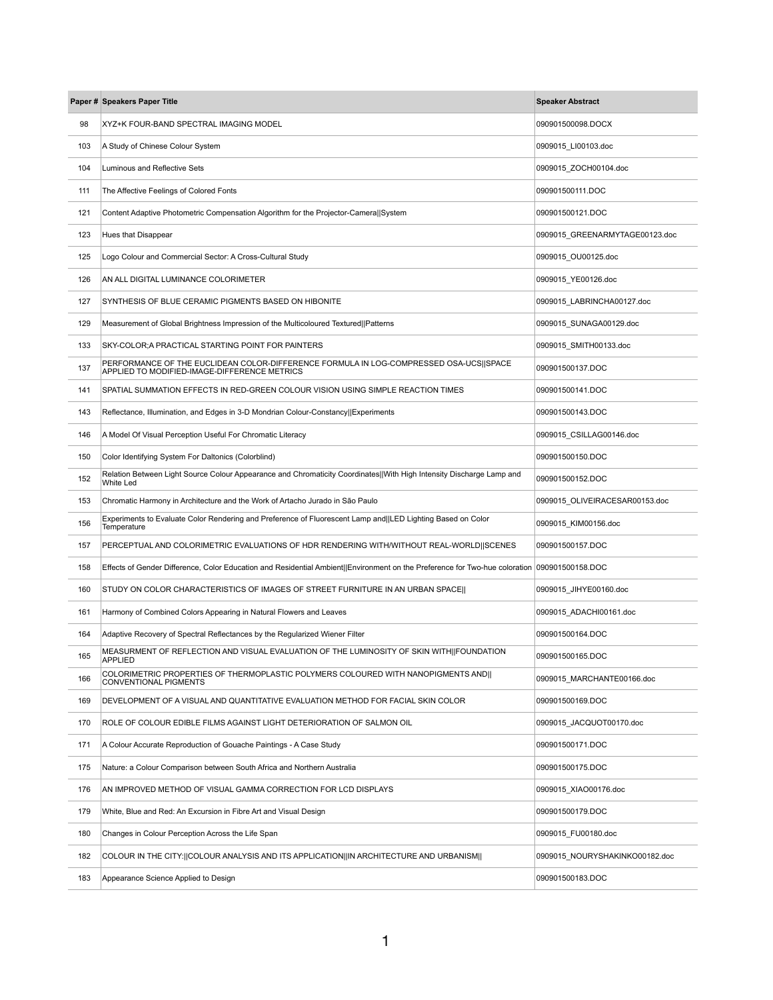|     | Paper # Speakers Paper Title                                                                                                                 | <b>Speaker Abstract</b>        |
|-----|----------------------------------------------------------------------------------------------------------------------------------------------|--------------------------------|
| 98  | XYZ+K FOUR-BAND SPECTRAL IMAGING MODEL                                                                                                       | 090901500098.DOCX              |
| 103 | A Study of Chinese Colour System                                                                                                             | 0909015_LI00103.doc            |
| 104 | <b>Luminous and Reflective Sets</b>                                                                                                          | 0909015 ZOCH00104.doc          |
| 111 | The Affective Feelings of Colored Fonts                                                                                                      | 090901500111.DOC               |
| 121 | Content Adaptive Photometric Compensation Algorithm for the Projector-Camera  System                                                         | 090901500121.DOC               |
| 123 | Hues that Disappear                                                                                                                          | 0909015_GREENARMYTAGE00123.doc |
| 125 | Logo Colour and Commercial Sector: A Cross-Cultural Study                                                                                    | 0909015_OU00125.doc            |
| 126 | AN ALL DIGITAL LUMINANCE COLORIMETER                                                                                                         | 0909015_YE00126.doc            |
| 127 | SYNTHESIS OF BLUE CERAMIC PIGMENTS BASED ON HIBONITE                                                                                         | 0909015_LABRINCHA00127.doc     |
| 129 | Measurement of Global Brightness Impression of the Multicoloured Textured  Patterns                                                          | 0909015_SUNAGA00129.doc        |
| 133 | SKY-COLOR; A PRACTICAL STARTING POINT FOR PAINTERS                                                                                           | 0909015_SMITH00133.doc         |
| 137 | PERFORMANCE OF THE EUCLIDEAN COLOR-DIFFERENCE FORMULA IN LOG-COMPRESSED OSA-UCS  SPACE<br>APPLIED TO MODIFIED-IMAGE-DIFFERENCE METRICS       | 090901500137.DOC               |
| 141 | SPATIAL SUMMATION EFFECTS IN RED-GREEN COLOUR VISION USING SIMPLE REACTION TIMES                                                             | 090901500141.DOC               |
| 143 | Reflectance, Illumination, and Edges in 3-D Mondrian Colour-Constancy  Experiments                                                           | 090901500143.DOC               |
| 146 | A Model Of Visual Perception Useful For Chromatic Literacy                                                                                   | 0909015_CSILLAG00146.doc       |
| 150 | Color Identifying System For Daltonics (Colorblind)                                                                                          | 090901500150.DOC               |
| 152 | Relation Between Light Source Colour Appearance and Chromaticity Coordinates  With High Intensity Discharge Lamp and<br><b>White Led</b>     | 090901500152.DOC               |
| 153 | Chromatic Harmony in Architecture and the Work of Artacho Jurado in São Paulo                                                                | 0909015 OLIVEIRACESAR00153.doc |
| 156 | Experiments to Evaluate Color Rendering and Preference of Fluorescent Lamp and  LED Lighting Based on Color<br>Temperature                   | 0909015_KIM00156.doc           |
| 157 | PERCEPTUAL AND COLORIMETRIC EVALUATIONS OF HDR RENDERING WITH/WITHOUT REAL-WORLD  SCENES                                                     | 090901500157.DOC               |
| 158 | Effects of Gender Difference, Color Education and Residential Ambient  Environment on the Preference for Two-hue coloration 090901500158.DOC |                                |
| 160 | STUDY ON COLOR CHARACTERISTICS OF IMAGES OF STREET FURNITURE IN AN URBAN SPACE                                                               | 0909015_JIHYE00160.doc         |
| 161 | Harmony of Combined Colors Appearing in Natural Flowers and Leaves                                                                           | 0909015_ADACHI00161.doc        |
| 164 | Adaptive Recovery of Spectral Reflectances by the Regularized Wiener Filter                                                                  | 090901500164.DOC               |
| 165 | MEASURMENT OF REFLECTION AND VISUAL EVALUATION OF THE LUMINOSITY OF SKIN WITH  FOUNDATION<br><b>APPLIED</b>                                  | 090901500165.DOC               |
| 166 | COLORIMETRIC PROPERTIES OF THERMOPLASTIC POLYMERS COLOURED WITH NANOPIGMENTS AND  <br><b>CONVENTIONAL PIGMENTS</b>                           | 0909015_MARCHANTE00166.doc     |
| 169 | DEVELOPMENT OF A VISUAL AND QUANTITATIVE EVALUATION METHOD FOR FACIAL SKIN COLOR                                                             | 090901500169.DOC               |
| 170 | ROLE OF COLOUR EDIBLE FILMS AGAINST LIGHT DETERIORATION OF SALMON OIL                                                                        | 0909015 JACQUOT00170.doc       |
| 171 | A Colour Accurate Reproduction of Gouache Paintings - A Case Study                                                                           | 090901500171.DOC               |
| 175 | Nature: a Colour Comparison between South Africa and Northern Australia                                                                      | 090901500175.DOC               |
| 176 | AN IMPROVED METHOD OF VISUAL GAMMA CORRECTION FOR LCD DISPLAYS                                                                               | 0909015_XIAO00176.doc          |
| 179 | White, Blue and Red: An Excursion in Fibre Art and Visual Design                                                                             | 090901500179.DOC               |
| 180 | Changes in Colour Perception Across the Life Span                                                                                            | 0909015_FU00180.doc            |
| 182 | COLOUR IN THE CITY:   COLOUR ANALYSIS AND ITS APPLICATION  IN ARCHITECTURE AND URBANISM                                                      | 0909015_NOURYSHAKINKO00182.doc |
| 183 | Appearance Science Applied to Design                                                                                                         | 090901500183.DOC               |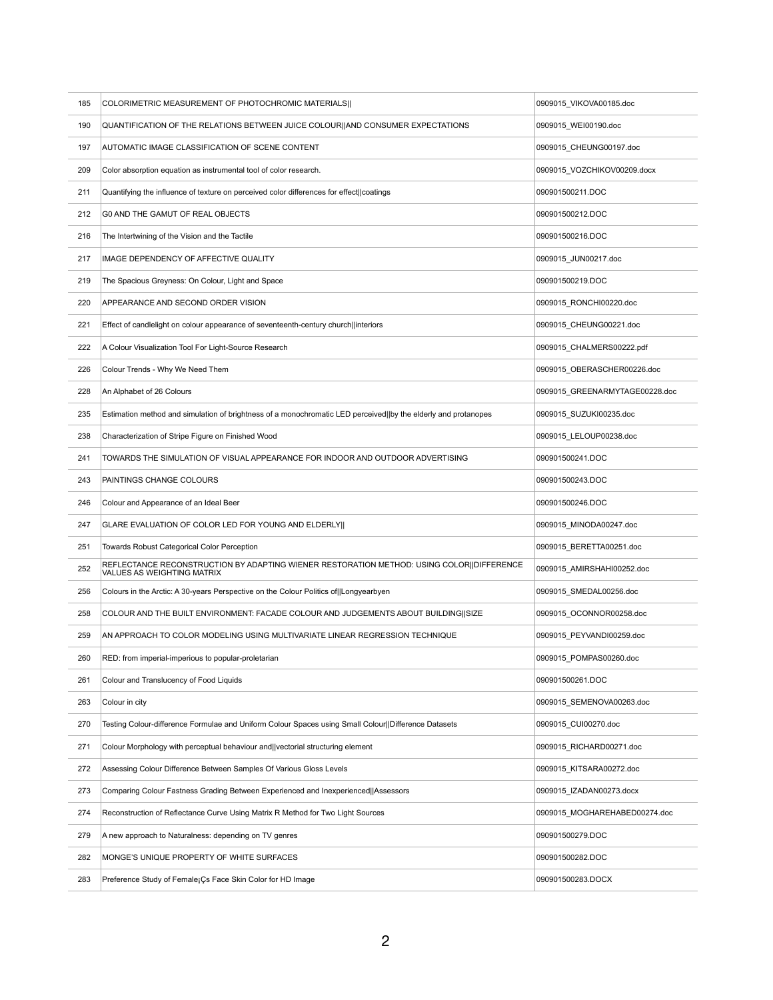| 185 | COLORIMETRIC MEASUREMENT OF PHOTOCHROMIC MATERIALS                                                                      | 0909015_VIKOVA00185.doc        |
|-----|-------------------------------------------------------------------------------------------------------------------------|--------------------------------|
| 190 | QUANTIFICATION OF THE RELATIONS BETWEEN JUICE COLOUR  AND CONSUMER EXPECTATIONS                                         | 0909015_WEI00190.doc           |
| 197 | AUTOMATIC IMAGE CLASSIFICATION OF SCENE CONTENT                                                                         | 0909015_CHEUNG00197.doc        |
| 209 | Color absorption equation as instrumental tool of color research.                                                       | 0909015_VOZCHIKOV00209.docx    |
| 211 | Quantifying the influence of texture on perceived color differences for effect  coatings                                | 090901500211.DOC               |
| 212 | <b>GO AND THE GAMUT OF REAL OBJECTS</b>                                                                                 | 090901500212.DOC               |
| 216 | The Intertwining of the Vision and the Tactile                                                                          | 090901500216.DOC               |
| 217 | IMAGE DEPENDENCY OF AFFECTIVE QUALITY                                                                                   | 0909015_JUN00217.doc           |
| 219 | The Spacious Greyness: On Colour, Light and Space                                                                       | 090901500219.DOC               |
| 220 | APPEARANCE AND SECOND ORDER VISION                                                                                      | 0909015_RONCHI00220.doc        |
| 221 | Effect of candlelight on colour appearance of seventeenth-century church  interiors                                     | 0909015_CHEUNG00221.doc        |
| 222 | A Colour Visualization Tool For Light-Source Research                                                                   | 0909015_CHALMERS00222.pdf      |
| 226 | Colour Trends - Why We Need Them                                                                                        | 0909015_OBERASCHER00226.doc    |
| 228 | An Alphabet of 26 Colours                                                                                               | 0909015_GREENARMYTAGE00228.doc |
| 235 | Estimation method and simulation of brightness of a monochromatic LED perceived  by the elderly and protanopes          | 0909015_SUZUKI00235.doc        |
| 238 | Characterization of Stripe Figure on Finished Wood                                                                      | 0909015_LELOUP00238.doc        |
| 241 | TOWARDS THE SIMULATION OF VISUAL APPEARANCE FOR INDOOR AND OUTDOOR ADVERTISING                                          | 090901500241.DOC               |
| 243 | PAINTINGS CHANGE COLOURS                                                                                                | 090901500243.DOC               |
|     |                                                                                                                         |                                |
| 246 | Colour and Appearance of an Ideal Beer                                                                                  | 090901500246.DOC               |
| 247 | GLARE EVALUATION OF COLOR LED FOR YOUNG AND ELDERLY                                                                     | 0909015_MINODA00247.doc        |
| 251 | <b>Towards Robust Categorical Color Perception</b>                                                                      | 0909015_BERETTA00251.doc       |
| 252 | REFLECTANCE RECONSTRUCTION BY ADAPTING WIENER RESTORATION METHOD: USING COLOR  DIFFERENCE<br>VALUES AS WEIGHTING MATRIX | 0909015_AMIRSHAHI00252.doc     |
| 256 | Colours in the Arctic: A 30-years Perspective on the Colour Politics of   Longyearbyen                                  | 0909015_SMEDAL00256.doc        |
| 258 | COLOUR AND THE BUILT ENVIRONMENT: FACADE COLOUR AND JUDGEMENTS ABOUT BUILDING  SIZE                                     | 0909015_OCONNOR00258.doc       |
| 259 | AN APPROACH TO COLOR MODELING USING MULTIVARIATE LINEAR REGRESSION TECHNIQUE                                            | 0909015_PEYVANDI00259.doc      |
| 260 | RED: from imperial-imperious to popular-proletarian                                                                     | 0909015_POMPAS00260.doc        |
| 261 | Colour and Translucency of Food Liquids                                                                                 | 090901500261.DOC               |
| 263 | Colour in city                                                                                                          | 0909015 SEMENOVA00263.doc      |
| 270 | Testing Colour-difference Formulae and Uniform Colour Spaces using Small Colour  Difference Datasets                    | 0909015 CUI00270.doc           |
| 271 | Colour Morphology with perceptual behaviour and   vectorial structuring element                                         | 0909015_RICHARD00271.doc       |
| 272 | Assessing Colour Difference Between Samples Of Various Gloss Levels                                                     | 0909015_KITSARA00272.doc       |
| 273 | Comparing Colour Fastness Grading Between Experienced and Inexperienced  Assessors                                      | 0909015_IZADAN00273.docx       |
| 274 | Reconstruction of Reflectance Curve Using Matrix R Method for Two Light Sources                                         | 0909015_MOGHAREHABED00274.doc  |
| 279 | A new approach to Naturalness: depending on TV genres                                                                   | 090901500279.DOC               |
| 282 | MONGE'S UNIQUE PROPERTY OF WHITE SURFACES                                                                               | 090901500282.DOC               |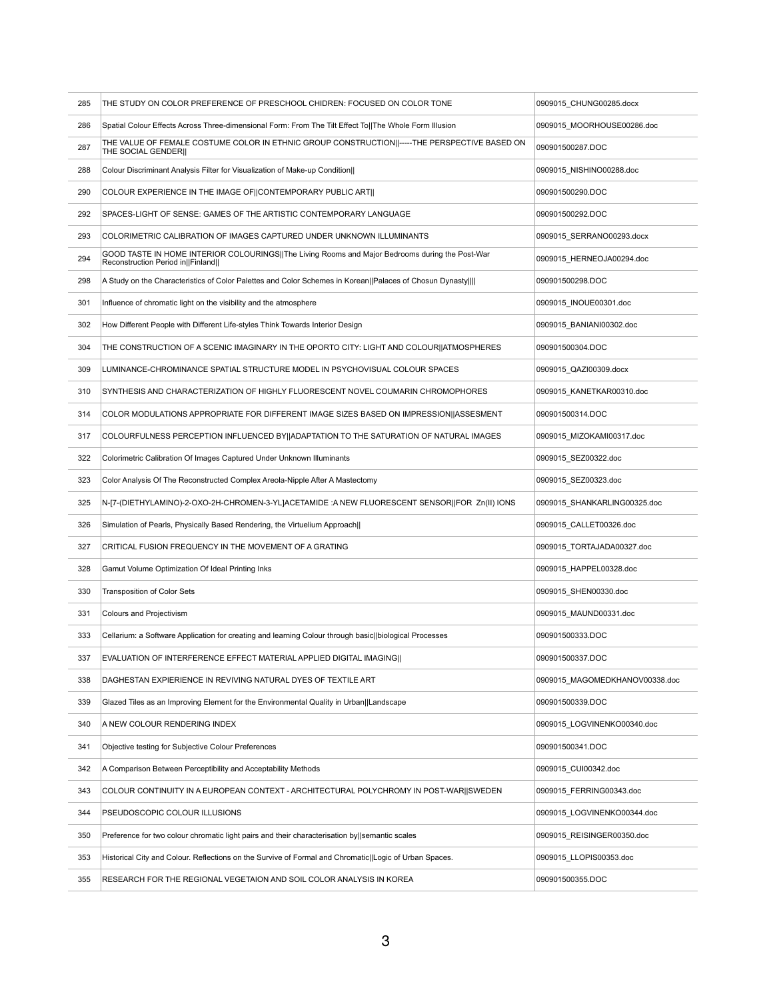| 285 | THE STUDY ON COLOR PREFERENCE OF PRESCHOOL CHIDREN: FOCUSED ON COLOR TONE                                                             | 0909015_CHUNG00285.docx        |
|-----|---------------------------------------------------------------------------------------------------------------------------------------|--------------------------------|
| 286 | Spatial Colour Effects Across Three-dimensional Form: From The Tilt Effect To  The Whole Form Illusion                                | 0909015_MOORHOUSE00286.doc     |
| 287 | THE VALUE OF FEMALE COSTUME COLOR IN ETHNIC GROUP CONSTRUCTION  -----THE PERSPECTIVE BASED ON<br>THE SOCIAL GENDER                    | 090901500287.DOC               |
| 288 | Colour Discriminant Analysis Filter for Visualization of Make-up Condition                                                            | 0909015_NISHINO00288.doc       |
| 290 | COLOUR EXPERIENCE IN THE IMAGE OF CONTEMPORARY PUBLIC ART                                                                             | 090901500290.DOC               |
| 292 | SPACES-LIGHT OF SENSE: GAMES OF THE ARTISTIC CONTEMPORARY LANGUAGE                                                                    | 090901500292.DOC               |
| 293 | COLORIMETRIC CALIBRATION OF IMAGES CAPTURED UNDER UNKNOWN ILLUMINANTS                                                                 | 0909015_SERRANO00293.docx      |
| 294 | GOOD TASTE IN HOME INTERIOR COLOURINGS  The Living Rooms and Major Bedrooms during the Post-War<br>Reconstruction Period in   Finland | 0909015_HERNEOJA00294.doc      |
| 298 | A Study on the Characteristics of Color Palettes and Color Schemes in Korean  Palaces of Chosun Dynasty                               | 090901500298.DOC               |
| 301 | Influence of chromatic light on the visibility and the atmosphere                                                                     | 0909015_INOUE00301.doc         |
| 302 | How Different People with Different Life-styles Think Towards Interior Design                                                         | 0909015_BANIANI00302.doc       |
| 304 | THE CONSTRUCTION OF A SCENIC IMAGINARY IN THE OPORTO CITY: LIGHT AND COLOUR  ATMOSPHERES                                              | 090901500304.DOC               |
| 309 | LUMINANCE-CHROMINANCE SPATIAL STRUCTURE MODEL IN PSYCHOVISUAL COLOUR SPACES                                                           | 0909015_QAZI00309.docx         |
| 310 | SYNTHESIS AND CHARACTERIZATION OF HIGHLY FLUORESCENT NOVEL COUMARIN CHROMOPHORES                                                      | 0909015_KANETKAR00310.doc      |
| 314 | COLOR MODULATIONS APPROPRIATE FOR DIFFERENT IMAGE SIZES BASED ON IMPRESSION  ASSESMENT                                                | 090901500314.DOC               |
| 317 | COLOURFULNESS PERCEPTION INFLUENCED BY ADAPTATION TO THE SATURATION OF NATURAL IMAGES                                                 | 0909015 MIZOKAMI00317.doc      |
| 322 | Colorimetric Calibration Of Images Captured Under Unknown Illuminants                                                                 | 0909015 SEZ00322.doc           |
| 323 | Color Analysis Of The Reconstructed Complex Areola-Nipple After A Mastectomy                                                          | 0909015_SEZ00323.doc           |
| 325 | N-[7-(DIETHYLAMINO)-2-OXO-2H-CHROMEN-3-YL]ACETAMIDE :A NEW FLUORESCENT SENSOR  FOR Zn(II) IONS                                        | 0909015_SHANKARLING00325.doc   |
| 326 | Simulation of Pearls, Physically Based Rendering, the Virtuelium Approach                                                             | 0909015_CALLET00326.doc        |
| 327 | CRITICAL FUSION FREQUENCY IN THE MOVEMENT OF A GRATING                                                                                | 0909015_TORTAJADA00327.doc     |
| 328 | Gamut Volume Optimization Of Ideal Printing Inks                                                                                      | 0909015_HAPPEL00328.doc        |
| 330 | <b>Transposition of Color Sets</b>                                                                                                    | 0909015_SHEN00330.doc          |
| 331 | <b>Colours and Projectivism</b>                                                                                                       | 0909015_MAUND00331.doc         |
| 333 | Cellarium: a Software Application for creating and learning Colour through basic  biological Processes                                | 090901500333.DOC               |
| 337 | EVALUATION OF INTERFERENCE EFFECT MATERIAL APPLIED DIGITAL IMAGING                                                                    | 090901500337.DOC               |
| 338 | DAGHESTAN EXPIERIENCE IN REVIVING NATURAL DYES OF TEXTILE ART                                                                         | 0909015_MAGOMEDKHANOV00338.doc |
| 339 | Glazed Tiles as an Improving Element for the Environmental Quality in Urban  Landscape                                                | 090901500339.DOC               |
| 340 | A NEW COLOUR RENDERING INDEX                                                                                                          | 0909015_LOGVINENKO00340.doc    |
| 341 | Objective testing for Subjective Colour Preferences                                                                                   | 090901500341.DOC               |
| 342 | A Comparison Between Perceptibility and Acceptability Methods                                                                         | 0909015_CUI00342.doc           |
| 343 | COLOUR CONTINUITY IN A EUROPEAN CONTEXT - ARCHITECTURAL POLYCHROMY IN POST-WAR  SWEDEN                                                | 0909015_FERRING00343.doc       |
| 344 | PSEUDOSCOPIC COLOUR ILLUSIONS                                                                                                         | 0909015 LOGVINENKO00344.doc    |
| 350 | Preference for two colour chromatic light pairs and their characterisation by   semantic scales                                       | 0909015_REISINGER00350.doc     |
| 353 | Historical City and Colour. Reflections on the Survive of Formal and Chromatic  Logic of Urban Spaces.                                | 0909015_LLOPIS00353.doc        |
| 355 | RESEARCH FOR THE REGIONAL VEGETAION AND SOIL COLOR ANALYSIS IN KOREA                                                                  | 090901500355.DOC               |